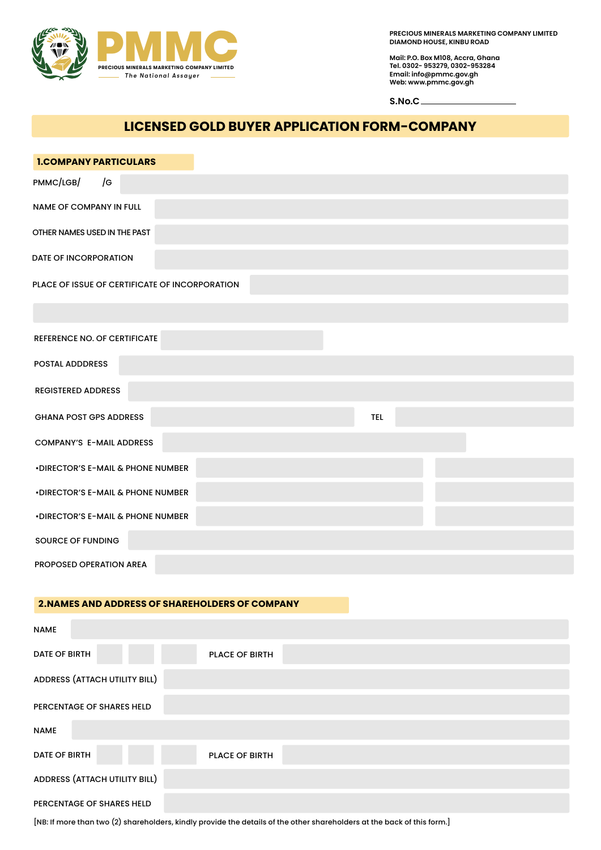

**PRECIOUS MINERALS MARKETING COMPANY LIMITED DIAMOND HOUSE, KINBU ROAD**

**Mail: P.O. Box M108, Accra, Ghana Tel. 0302- 953279, 0302-953284 Email: info@pmmc.gov.gh Web: www.pmmc.gov.gh**

**S.No.C**

# **LICENSED GOLD BUYER APPLICATION FORM-COMPANY**

| <b>1.COMPANY PARTICULARS</b>                           |                |            |  |
|--------------------------------------------------------|----------------|------------|--|
| PMMC/LGB/<br>/G                                        |                |            |  |
| NAME OF COMPANY IN FULL                                |                |            |  |
| OTHER NAMES USED IN THE PAST                           |                |            |  |
| <b>DATE OF INCORPORATION</b>                           |                |            |  |
| PLACE OF ISSUE OF CERTIFICATE OF INCORPORATION         |                |            |  |
|                                                        |                |            |  |
| REFERENCE NO. OF CERTIFICATE                           |                |            |  |
| <b>POSTAL ADDDRESS</b>                                 |                |            |  |
| <b>REGISTERED ADDRESS</b>                              |                |            |  |
| <b>GHANA POST GPS ADDRESS</b>                          |                | <b>TEL</b> |  |
| <b>COMPANY'S E-MAIL ADDRESS</b>                        |                |            |  |
| • DIRECTOR'S E-MAIL & PHONE NUMBER                     |                |            |  |
| • DIRECTOR'S E-MAIL & PHONE NUMBER                     |                |            |  |
| • DIRECTOR'S E-MAIL & PHONE NUMBER                     |                |            |  |
| SOURCE OF FUNDING                                      |                |            |  |
| PROPOSED OPERATION AREA                                |                |            |  |
| <b>2. NAMES AND ADDRESS OF SHAREHOLDERS OF COMPANY</b> |                |            |  |
|                                                        |                |            |  |
| <b>NAME</b>                                            |                |            |  |
| DATE OF BIRTH                                          | PLACE OF BIRTH |            |  |
| ADDRESS (ATTACH UTILITY BILL)                          |                |            |  |
| PERCENTAGE OF SHARES HELD                              |                |            |  |
| <b>NAME</b>                                            |                |            |  |
| <b>DATE OF BIRTH</b>                                   | PLACE OF BIRTH |            |  |
| ADDRESS (ATTACH UTILITY BILL)                          |                |            |  |
| PERCENTAGE OF SHARES HELD                              |                |            |  |

[NB: If more than two (2) shareholders, kindly provide the details of the other shareholders at the back of this form.]